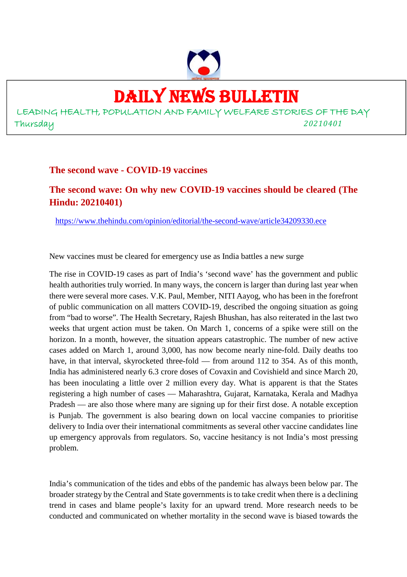

## DAILY NEWS BULLETIN

LEADING HEALTH, POPULATION AND FAMILY WELFARE STORIES OF THE DAY Thursday *20210401*

### **The second wave - COVID-19 vaccines**

**The second wave: On why new COVID-19 vaccines should be cleared (The Hindu: 20210401)**

https://www.thehindu.com/opinion/editorial/the-second-wave/article34209330.ece

New vaccines must be cleared for emergency use as India battles a new surge

The rise in COVID-19 cases as part of India's 'second wave' has the government and public health authorities truly worried. In many ways, the concern is larger than during last year when there were several more cases. V.K. Paul, Member, NITI Aayog, who has been in the forefront of public communication on all matters COVID-19, described the ongoing situation as going from "bad to worse". The Health Secretary, Rajesh Bhushan, has also reiterated in the last two weeks that urgent action must be taken. On March 1, concerns of a spike were still on the horizon. In a month, however, the situation appears catastrophic. The number of new active cases added on March 1, around 3,000, has now become nearly nine-fold. Daily deaths too have, in that interval, skyrocketed three-fold — from around 112 to 354. As of this month, India has administered nearly 6.3 crore doses of Covaxin and Covishield and since March 20, has been inoculating a little over 2 million every day. What is apparent is that the States registering a high number of cases — Maharashtra, Gujarat, Karnataka, Kerala and Madhya Pradesh — are also those where many are signing up for their first dose. A notable exception is Punjab. The government is also bearing down on local vaccine companies to prioritise delivery to India over their international commitments as several other vaccine candidates line up emergency approvals from regulators. So, vaccine hesitancy is not India's most pressing problem.

India's communication of the tides and ebbs of the pandemic has always been below par. The broader strategy by the Central and State governments is to take credit when there is a declining trend in cases and blame people's laxity for an upward trend. More research needs to be conducted and communicated on whether mortality in the second wave is biased towards the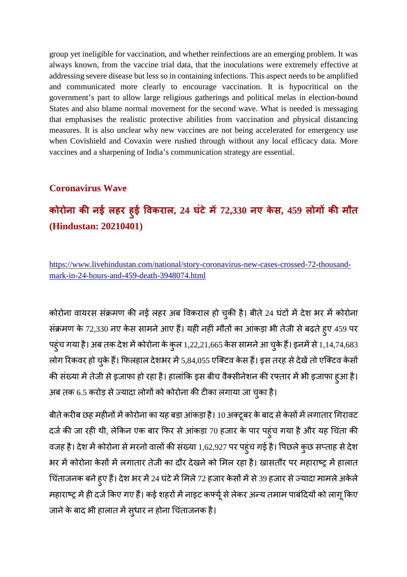group yet ineligible for vaccination, and whether reinfections are an emerging problem. It was always known, from the vaccine trial data, that the inoculations were extremely effective at addressing severe disease but less so in containing infections. This aspect needs to be amplified and communicated more clearly to encourage vaccination. It is hypocritical on the government's part to allow large religious gatherings and political melas in election-bound States and also blame normal movement for the second wave. What is needed is messaging that emphasises the realistic protective abilities from vaccination and physical distancing measures. It is also unclear why new vaccines are not being accelerated for emergency use when Covishield and Covaxin were rushed through without any local efficacy data. More vaccines and a sharpening of India's communication strategy are essential.

### **Coronavirus Wave**

### **कोरोना कनई लहर ह ुई वकराल, 24 घंटेम72,330 नए केस, 459 लोग क मौत (Hindustan: 20210401)**

https://www.livehindustan.com/national/story-coronavirus-new-cases-crossed-72-thousandmark-in-24-hours-and-459-death-3948074.html

कोरोना वायरस संक्रमण की नई लहर अब विकराल हो चुकी है। बीते 24 घंटों में देश भर में कोरोना संक्रमण के 72,330 नए केस सामने आए हैं। यही नहीं मौतों का आंकड़ा भी तेजी से बढ़ते हुए 459 पर पहुंच गया है। अब तक देश में कोरोना के कुल 1,22,21,665 केस सामने आ चुके हैं। इनमें से 1,14,74,683 लोग रिकवर हो चुके हैं। फिलहाल देशभर में 5,84,055 एक्टिव केस हैं। इस तरह से देखें तो एक्टिव केसों की संख्या में तेजी से इजाफा हो रहा है। हालांकि इस बीच वैक्सीनेशन की रफ्तार में भी इजाफा हुआ है। अब तक 6.5 करोड़ से ज्यादा लोगों को कोरोना की टीका लगाया जा चुका है।

बीते करीब छह महीनों में कोरोना का यह बड़ा आंकड़ा है। 10 अक्टूबर के बाद से केसों में लगातार गिरावट दर्ज की जा रही थी, लेकिन एक बार फिर से आंकड़ा 70 हजार के पार पहुंच गया है और यह चिंता की वजह है। देश में कोरोना से मरनो वालों की संख्या 1,62,927 पर पहुंच गई है। पिछले कुछ सप्ताह से देश भर में कोरोना केसों में लगातार तेजी का दौर देखने को मिल रहा है। खासतौर पर महाराष्ट्र में हालात चिंताजनक बने हुए हैं। देश भर में 24 घंटे में मिले 72 हजार केसों में से 39 हजार से ज्यादा मामले अकेले महाराष्ट्र में ही दर्ज किए गए हैं। कई शहरों में नाइट कर्फ्यू से लेकर अन्य तमाम पाबंदियों को लागू किए जाने के बाद भी हालात में सुधार न होना चिंताजनक है।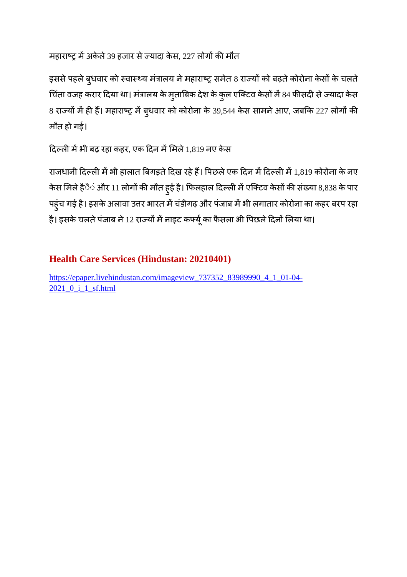महाराष्ट्र में अकेले 39 हजार से ज्यादा केस, 227 लोगों की मौत

इससे पहले बुधवार को स्वास्थ्य मंत्रालय ने महाराष्ट्र समेत 8 राज्यों को बढ़ते कोरोना केसों के चलते चिंता वजह करार दिया था। मंत्रालय के मुताबिक देश के कुल एक्टिव केसों में 84 फीसदी से ज्यादा केस 8 राज्यों में ही हैं। महाराष्ट्र में ब्धवार को कोरोना के 39,544 केस सामने आए, जबकि 227 लोगों की मौत हो गई।

दिल्ली में भी बढ़ रहा कहर, एक दिन में मिले 1,819 नए केस

राजधानी दिल्ली में भी हालात बिगड़ते दिख रहे हैं। पिछले एक दिन में दिल्ली में 1,819 कोरोना के नए केस मिले हैै**ं और 11 लोगों की मौत हुई है। फिलहाल दिल्**ली में एक्टिव केसों की संख्या 8,838 के पार पहुंच गई है। इसके अलावा उत्तर भारत में चंडीगढ़ और पंजाब में भी लगातार कोरोना का कहर बरप रहा है। इसके चलते पंजाब ने 12 राज्यों में नाइट कर्फ्यू का फैसला भी पिछले दिनों लिया था।

### **Health Care Services (Hindustan: 20210401)**

https://epaper.livehindustan.com/imageview\_737352\_83989990\_4\_1\_01-04- 2021\_0\_i\_1\_sf.html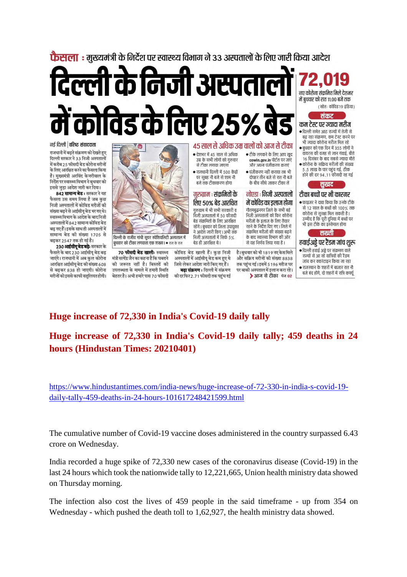### **फैसला :** मुख्यमंत्री के निर्देश पर स्वास्थ्य विभाग ने ३३ अस्पतालों के लिए जारी किया आदेश

# नमा अस के लिए 25%

नई दिल्ली | वरिष्ट संवाददाता

राजधानी में बढते संक्रमण को देखते हुए दिल्ली सरकार ने 33 निजी अस्पतालों में करीब 2.5 फीसदी बेड कोरोना मरीजों के लिए आरक्षित करने का फैसला किया है। मख्यमंत्री अरविंद केजरीवाल के निर्देश पर स्वास्थ्य विभाग ने बधवार को इससे जुड़ा आदेश जारी कर दिया।

842 सामान्य बेड़ : सरकार ने यह फैसला उस समय लिया है जब कुछ निजी अस्पतालों में कोविड मरीजों की संख्या बढ़ने से आईसीयू बेड भर गए थे। स्वास्थ्य विभाग के आदेश के बाद निजी अस्पतालों में 842 सामान्य कोविड बेड बढ़ गए हैं। इसके साथ ही अस्पतालों में सामान्य बेड की संख्या 1705 से बढ़कर 2547 तक हो गई है।

230 आईसीयू बेड बढ़ेः सरकार के फैसले के बाद 230 आईसीय बेड बढ जाएंगे। राजधानी में अब कुल कोरोना आरक्षित आईसीयू बेड की संख्या 608 से बढकर 838 हो जाएगी। कोरोना मरीजों को इससे काफी सहलियत होगी।



दिल्ली के राजीव गांधी सुपर स्पेशियलिटी अस्पताल में बुधवार को टीका लगवाता एक शख्स। • राज के राज

70 फीसदी बेड खाली: स्वास्थ्य मंत्री सत्येंद्र जैन का कहना है कि घबराने की जरूरत नहीं है। बिस्तरों की उपलब्धता के मामले में हमारी स्थिति बेहतर है। अभी हमारे पास 70 फीसदी

बेड ही आरक्षित थे। कोविड बेड खाली हैं। कुछ निजी अस्पतालों में आईसीयू बेड कम हुए थे जिसे लेकर आदेश जारी किए गए हैं। बढा संक्रमण : दिल्ली में संक्रमण की दर फिर 2.71 फीसदी तक पहुंच गई

• देशभर में 45 साल से अधिक

• राजधानी दिल्ली में 500 केंद्रों

पर सुबह नौ बजे से शाम नौ

गरूगाम : संकमितों के

लिए ५०% बेड आरक्षित

गुरुग्राम में भी सभी सरकारी व

ू<br>निजी अस्पतालों में 50 फीसदी

बेड संक्रमितों के लिए आरक्षित

रहेंगे। बुधवार को जिला उपायुक्त

ने थाटेश जारी किए। थभी तक

निजी अस्पतालों में सिर्फ 5%

बजे तक टीकाकरण होगा

से टीका लगाया जाएगा

उम्र के सभी लोगों को गुरुवार



बजे बंद होंगे, दो शहरों में रात्रि कफ्यू

▶आज से टीका फेज 02

### **Huge increase of 72,330 in India's Covid-19 daily tally**

**Huge increase of 72,330 in India's Covid-19 daily tally; 459 deaths in 24 hours (Hindustan Times: 20210401)**

https://www.hindustantimes.com/india-news/huge-increase-of-72-330-in-india-s-covid-19 daily-tally-459-deaths-in-24-hours-101617248421599.html

The cumulative number of Covid-19 vaccine doses administered in the country surpassed 6.43 crore on Wednesday.

India recorded a huge spike of 72,330 new cases of the coronavirus disease (Covid-19) in the last 24 hours which took the nationwide tally to 12,221,665, Union health ministry data showed on Thursday morning.

The infection also cost the lives of 459 people in the said timeframe - up from 354 on Wednesday - which pushed the death toll to 1,62,927, the health ministry data showed.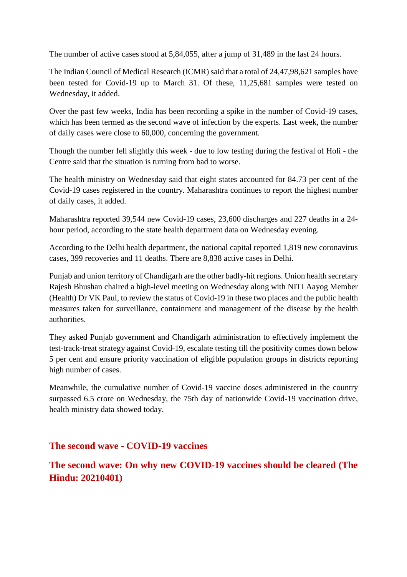The number of active cases stood at 5,84,055, after a jump of 31,489 in the last 24 hours.

The Indian Council of Medical Research (ICMR) said that a total of 24,47,98,621 samples have been tested for Covid-19 up to March 31. Of these, 11,25,681 samples were tested on Wednesday, it added.

Over the past few weeks, India has been recording a spike in the number of Covid-19 cases, which has been termed as the second wave of infection by the experts. Last week, the number of daily cases were close to 60,000, concerning the government.

Though the number fell slightly this week - due to low testing during the festival of Holi - the Centre said that the situation is turning from bad to worse.

The health ministry on Wednesday said that eight states accounted for 84.73 per cent of the Covid-19 cases registered in the country. Maharashtra continues to report the highest number of daily cases, it added.

Maharashtra reported 39,544 new Covid-19 cases, 23,600 discharges and 227 deaths in a 24 hour period, according to the state health department data on Wednesday evening.

According to the Delhi health department, the national capital reported 1,819 new coronavirus cases, 399 recoveries and 11 deaths. There are 8,838 active cases in Delhi.

Punjab and union territory of Chandigarh are the other badly-hit regions. Union health secretary Rajesh Bhushan chaired a high-level meeting on Wednesday along with NITI Aayog Member (Health) Dr VK Paul, to review the status of Covid-19 in these two places and the public health measures taken for surveillance, containment and management of the disease by the health authorities.

They asked Punjab government and Chandigarh administration to effectively implement the test-track-treat strategy against Covid-19, escalate testing till the positivity comes down below 5 per cent and ensure priority vaccination of eligible population groups in districts reporting high number of cases.

Meanwhile, the cumulative number of Covid-19 vaccine doses administered in the country surpassed 6.5 crore on Wednesday, the 75th day of nationwide Covid-19 vaccination drive, health ministry data showed today.

### **The second wave - COVID-19 vaccines**

**The second wave: On why new COVID-19 vaccines should be cleared (The Hindu: 20210401)**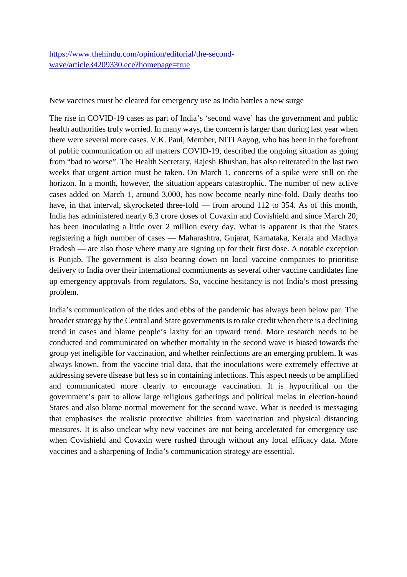https://www.thehindu.com/opinion/editorial/the-secondwave/article34209330.ece?homepage=true

New vaccines must be cleared for emergency use as India battles a new surge

The rise in COVID-19 cases as part of India's 'second wave' has the government and public health authorities truly worried. In many ways, the concern is larger than during last year when there were several more cases. V.K. Paul, Member, NITI Aayog, who has been in the forefront of public communication on all matters COVID-19, described the ongoing situation as going from "bad to worse". The Health Secretary, Rajesh Bhushan, has also reiterated in the last two weeks that urgent action must be taken. On March 1, concerns of a spike were still on the horizon. In a month, however, the situation appears catastrophic. The number of new active cases added on March 1, around 3,000, has now become nearly nine-fold. Daily deaths too have, in that interval, skyrocketed three-fold — from around 112 to 354. As of this month, India has administered nearly 6.3 crore doses of Covaxin and Covishield and since March 20, has been inoculating a little over 2 million every day. What is apparent is that the States registering a high number of cases — Maharashtra, Gujarat, Karnataka, Kerala and Madhya Pradesh — are also those where many are signing up for their first dose. A notable exception is Punjab. The government is also bearing down on local vaccine companies to prioritise delivery to India over their international commitments as several other vaccine candidates line up emergency approvals from regulators. So, vaccine hesitancy is not India's most pressing problem.

India's communication of the tides and ebbs of the pandemic has always been below par. The broader strategy by the Central and State governments is to take credit when there is a declining trend in cases and blame people's laxity for an upward trend. More research needs to be conducted and communicated on whether mortality in the second wave is biased towards the group yet ineligible for vaccination, and whether reinfections are an emerging problem. It was always known, from the vaccine trial data, that the inoculations were extremely effective at addressing severe disease but less so in containing infections. This aspect needs to be amplified and communicated more clearly to encourage vaccination. It is hypocritical on the government's part to allow large religious gatherings and political melas in election-bound States and also blame normal movement for the second wave. What is needed is messaging that emphasises the realistic protective abilities from vaccination and physical distancing measures. It is also unclear why new vaccines are not being accelerated for emergency use when Covishield and Covaxin were rushed through without any local efficacy data. More vaccines and a sharpening of India's communication strategy are essential.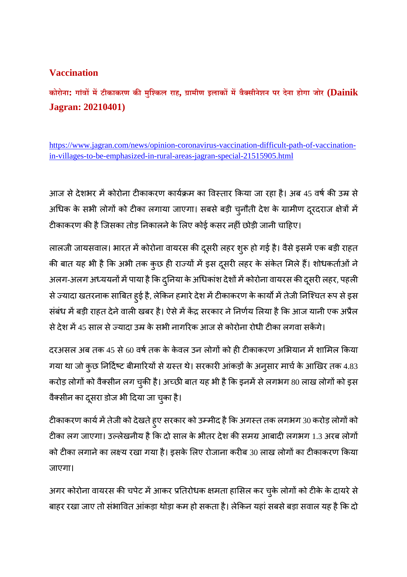### **Vaccination**

**कोरोना: गांवमटीकाकरण कमुिकल राह, ामीण इलाकमवैसीनेशन पर देना होगा जोर (Dainik Jagran: 20210401)**

https://www.jagran.com/news/opinion-coronavirus-vaccination-difficult-path-of-vaccinationin-villages-to-be-emphasized-in-rural-areas-jagran-special-21515905.html

आज से देशभर में कोरोना टीकाकरण कार्यक्रम का विस्तार किया जा रहा है। अब 45 वर्ष की उम्र से अधिक के सभी लोगों को टीका लगाया जाएगा। सबसे बड़ी चुनौती देश के ग्रामीण दूरदराज क्षेत्रों में टीकाकरण की है जिसका तोड़ निकालने के लिए कोई कसर नहीं छोड़ी जानी चाहिए।

लालजी जायसवाल। भारत में कोरोना वायरस की दूसरी लहर शुरू हो गई है। वैसे इसमें एक बड़ी राहत की बात यह भी है कि अभी तक कुछ ही राज्यों में इस दूसरी लहर के संकेत मिले हैं। शोधकर्ताओं ने अलग-अलग अध्ययनों में पाया है कि दुनिया के अधिकांश देशों में कोरोना वायरस की दूसरी लहर, पहली से ज्यादा खतरनाक साबित हुई है, लेकिन हमारे देश में टीकाकरण के कार्यो में तेजी निश्चित रूप से इस संबंध में बड़ी राहत देने वाली खबर है। ऐसे में केंद्र सरकार ने निर्णय लिया है कि आज यानी एक अप्रैल से देश में 45 साल से ज्यादा उम्र के सभी नागरिक आज से कोरोना रोधी टीका लगवा सकेंगे।

दरअसल अब तक 45 से 60 वर्ष तक के केवल उन लोगों को ही टीकाकरण अभियान में शामिल किया गया था जो कुछ निर्दिष्ट बीमारियों से ग्रस्त थे। सरकारी आंकड़ों के अनुसार मार्च के आखिर तक 4.83 करोड़ लोगों को वैक्सीन लग चुकी है। अच्छी बात यह भी है कि इनमें से लगभग 80 लाख लोगों को इस वैक्सीन का दूसरा डोज भी दिया जा चुका है।

टीकाकरण कार्य में तेजी को देखते हुए सरकार को उम्मीद है कि अगस्त तक लगभग 30 करोड़ लोगों को टीका लग जाएगा। उल्लेखनीय है कि दो साल के भीतर देश की समग्र आबादी लगभग 1.3 अरब लोगों को टीका लगाने का लक्ष्य रखा गया है। इसके लिए रोजाना करीब 30 लाख लोगों का टीकाकरण किया जाएगा।

अगर कोरोना वायरस की चपेट में आकर प्रतिरोधक क्षमता हासिल कर चुके लोगों को टीके के दायरे से बाहर रखा जाए तो संभावित आंकड़ा थोड़ा कम हो सकता है। लेकिन यहां सबसे बड़ा सवाल यह है कि दो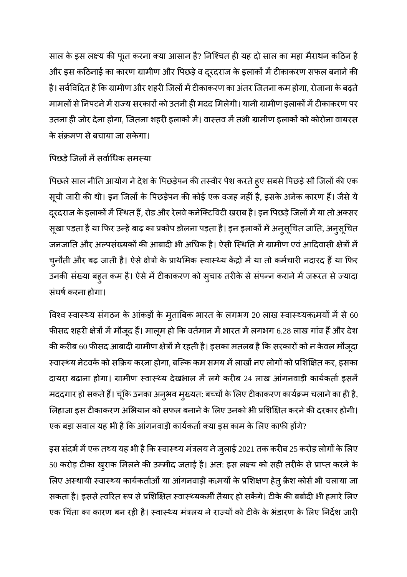साल के इस लक्ष्य की पूïत करना क्या आसान है? निश्चित ही यह दो साल का महा मैराथन कठिन है और इस कठिनाई का कारण ग्रामीण और पिछड़े व दूरदराज के इलाकों में टीकाकरण सफल बनाने की है। सर्वविदित है कि ग्रामीण और शहरी जिलों में टीकाकरण का अंतर जितना कम होगा, रोजाना के बढ़ते मामलों से निपटने में राज्य सरकारों को उतनी ही मदद मिलेगी। यानी ग्रामीण इलाकों में टीकाकरण पर उतना ही जोर देना होगा, जितना शहरी इलाकों में। वास्तव में तभी ग्रामीण इलाकों को कोरोना वायरस के संक्रमण से बचाया जा सकेगा।

### पिछड़े जिलों में सर्वाधिक समस्या

पिछले साल नीति आयोग ने देश के पिछड़ेपन की तस्वीर पेश करते हुए सबसे पिछड़े सौ जिलों की एक सूची जारी की थी। इन जिलों के पिछड़ेपन की कोई एक वजह नहीं है, इसके अनेक कारण हैं। जैसे ये दूरदराज के इलाकों में स्थित हैं, रोड और रेलवे कनेक्टिविटी खराब है। इन पिछड़े जिलों में या तो अक्सर सूखा पड़ता है या फिर उन्हें बाढ़ का प्रकोप डोलना पड़ता है। इन इलाकों में अनुसूचित जाति, अनुसूचित जनजाति और अल्पसंख्यकों की आबादी भी अधिक है। ऐसी स्थिति में ग्रामीण एवं आदिवासी क्षेत्रों में चुनौती और बढ़ जाती है। ऐसे क्षेत्रों के प्राथमिक स्वास्थ्य केंद्रों में या तो कर्मचारी नदारद हैं या फिर उनकी संख्या बहुत कम है। ऐसे में टीकाकरण को सुचारु तरीके से संपन्न कराने में जरूरत से ज्यादा संघर्ष करना होगा।

विश्व स्वास्थ्य संगठन के आंकड़ों के मुताबिक भारत के लगभग 20 लाख स्वास्थ्यक1मयों में से 60 फीसद शहरी क्षेत्रों में मौजूद हैं। मालूम हो कि वर्तमान में भारत में लगभग 6.28 लाख गांव हैं और देश की करीब 60 फीसद आबादी ग्रामीण क्षेत्रों में रहती है। इसका मतलब है कि सरकारों को न केवल मौजूदा स्वास्थ्य नेटवर्क को सक्रिय करना होगा, बल्कि कम समय में लाखों नए लोगों को प्रशिक्षित कर, इसका दायरा बढ़ाना होगा। ग्रामीण स्वास्थ्य देखभाल में लगे करीब 24 लाख आंगनवाड़ी कार्यकर्ता इसमें मददगार हो सकते हैं। चूंकि उनका अनुभव मुख्यत: बच्चों के लिए टीकाकरण कार्यक्रम चलाने का ही है, लिहाजा इस टीकाकरण अभियान को सफल बनाने के लिए उनको भी प्रशिक्षित करने की दरकार होगी। एक बड़ा सवाल यह भी है कि आंगनवाड़ी कार्यकर्ता क्या इस काम के लिए काफी होंगे?

इस संदर्भ में एक तथ्य यह भी है कि स्वास्थ्य मंत्रलय ने जुलाई 2021 तक करीब 25 करोड़ लोगों के लिए 50 करोड़ टीका खुराक मिलने की उम्मीद जताई है। अत: इस लक्ष्य को सही तरीके से प्राप्त करने के लिए अस्थायी स्वास्थ्य कार्यकर्ताओं या आंगनवाड़ी कामयों के प्रशिक्षण हेतु क्रैश कोर्स भी चलाया जा सकता है। इससे त्वरित रूप से प्रशिक्षित स्वास्थ्यकर्मी तैयार हो सकेंगे। टीके की बर्बादी भी हमारे लिए एक चिंता का कारण बन रही है। स्वास्थ्य मंत्रलय ने राज्यों को टीके के भंडारण के लिए निर्देश जारी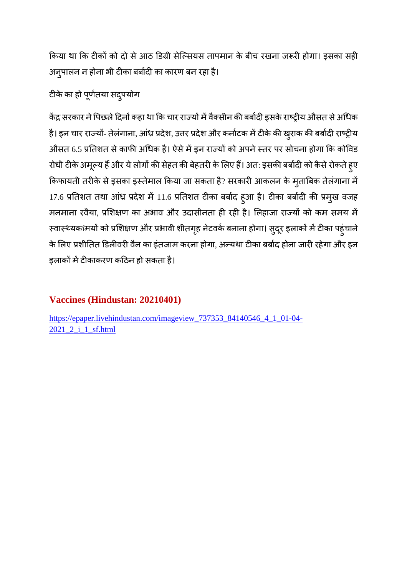किया था कि टीकों को दो से आठ डिग्री सेल्सियस तापमान के बीच रखना जरूरी होगा। इसका सही अनुपालन न होना भी टीका बर्बादी का कारण बन रहा है।

### टीके का हो पूर्णतया सद्पयोग

केंद्र सरकार ने पिछले दिनों कहा था कि चार राज्यों में वैक्सीन की बर्बादी इसके राष्ट्रीय औसत से अधिक है। इन चार राज्यों- तेलंगाना, आंध्र प्रदेश, उत्तर प्रदेश और कर्नाटक में टीके की खुराक की बर्बादी राष्ट्रीय औसत 6.5 प्रतिशत से काफी अधिक है। ऐसे में इन राज्यों को अपने स्तर पर सोचना होगा कि कोविड रोधी टीके अमूल्य हैं और ये लोगों की सेहत की बेहतरी के लिए हैं। अत: इसकी बर्बादी को कैसे रोकते हुए किफायती तरीके से इसका इस्तेमाल किया जा सकता है? सरकारी आकलन के मुताबिक तेलंगाना में 17.6 प्रतिशत तथा आंध्र प्रदेश में 11.6 प्रतिशत टीका बर्बाद हुआ है। टीका बर्बादी की प्रमुख वजह मनमाना रवैया, प्रशिक्षण का अभाव और उदासीनता ही रही है। लिहाजा राज्यों को कम समय में स्वास्थ्यकामयों को प्रशिक्षण और प्रभावी शीतगृह नेटवर्क बनाना होगा। सुदूर इलाकों में टीका पहुंचाने के लिए प्रशीतित डिलीवरी वैन का इंतजाम करना होगा, अन्यथा टीका बर्बाद होना जारी रहेगा और इन इलाकों में टीकाकरण कठिन हो सकता है।

### **Vaccines (Hindustan: 20210401)**

https://epaper.livehindustan.com/imageview\_737353\_84140546\_4\_1\_01-04- 2021 2 i 1 sf.html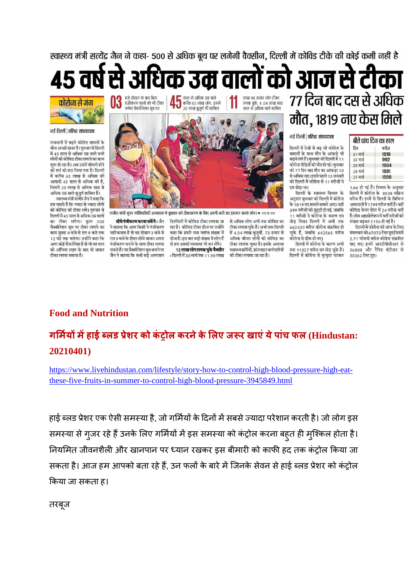स्वास्थ्य मंत्री सत्येंद्र जैन ने कहा- 500 से अधिक बुथ पर लगेगी वैक्सीन, दिल्ली में कोविड टीके की कोई कमी नहीं है

45 वर्ष से अधिक उम्र वालों को आज से टीका ७७ दिन बाद दस से अधिक साल से अधिक उम्र वाले लाख 98 हजार लोग टीका



#### नई दिल्ली | वरिष्ट संवाददाता

राजधानी में बढ़ते कोरोना मामलों के बीच अच्छी खबर है। गुरुवार से दिल्ली में 45 साल से अधिक उम्र वाले सभी लोगों की कोविड टीका लगाने का काम .<br>शुरू हो रहा है। अब उसमें बीमारी होने की शर्त को हटा लिया गया है। दिल्ली में करीब 65 लाख से अधिक की आबादी 45 साल से अधिक की है. जिसमें 20 लाख से अधिक साठ से अधिक उम्र वाले बज़र्ग शामिल हैं।

स्वास्थ्य मंत्री सत्येंद्र जैन ने कहा कि हम चाहते हैं कि ज्यादा से ज्यादा लोगों को कोविड की टीका लगे। गुरुवार से दिल्ली में 45 साल से अधिक उम्र वालों का टीका लगेगा। कुल 500 वैक्सीनेशन बूथ पर टीका लगाने का काम सुबह 9 बजे से रात 9 बजे तक 12 घंटे तक चलेगा। उन्होंने कहा कि अगर कोई नौकरीपेशा है तो भी वह शाम को ऑफिस टाइम के बाद भी जाकर टीका लगवा सकता है।



राजीव गांधी सुपर स्पेशियलिटी अस्पताल में बुघवार को टीकाकरण के लिए अपनी बारी का इंतजार करते लोग। • राज के राज

सीधे पंजीकरण करवा सकेंगे : जैन ने बताया कि अगर किसी ने पंजीकरण नहीं कराया है तो वह दोपहर 3 बजे से रात 9 बजे के दौरान सीधे जाकर अपना पंजीकरण कराने के साथ टीका लगवा सकते हैं। नए वैक्सीनेशन बूथ बनाने पर जैन ने बताया कि सभी बड़े अस्पताल

डिस्पेंसरी में कोविड टीका लगाया जा से अधिक लोग अभी तक कोविड का रहा है। कोविड टीका डोज पर उन्होंने कहा कि हमारे पास पर्याप्त संख्या में डोज है। इस बार बडी संख्या में लोग हैं तो हम उसकी व्यवस्था भी कर लेंगे। 12 लाख लोग लगवा चुके वैक्सीन

: दिल्ली में 30 मार्च तक 11.98 लाख

टीका लगवा चुके हैं। अभी तक दिल्ली जनगरान्ता कुल्ला जनगरान्तरता<br>में 4.04 लाख बुजुर्गों, 73 हजार से<br>अधिक बीमार लोगों को कोविड का टीका लगाया चुका है। इसके अलावा स्वास्थ्यकर्मियों, फ्रंटलाइन कर्मचारियों को टीका लगाया जा रहा है।

नई दिल्ली | वरिष्ट संवाददाता

मौत, १८१९ नए केस मिले

दिल्ली में तेजी से बढ़ रहे कोरोना के मामलों के साथ मौत के आंकड़े भी बढ़ने लगे हैं। बधवार को दिल्ली में 11 कोरोना पीडितों की मौत हो गई। बधवार को 77 दिन बाद मौत का आंकड़ा 10 से अधिक रहा। इससे पहले 13 जनवरी को दिल्ली में कोरोना से 11 मरीजों ने दम तोडा था।

दिल्ली के स्वास्थ्य विभाग के अनुसार बुधवार को दिल्ली में कोरोना .<br>के 1819 नए मामले सामने आए। वहीं 399 मरीजों को छुट्टी दी गई, जबकि 11 मरीजों ने कोरोना के कारण दम तोड़ दिया। दिल्ली में अभी तक 662430 मरीज कोरोना संक्रमित हो .<br>चुके हैं, जबकि 642565 मरीज .<br>कोरोना से ठीक हो गए।

दिल्ली में कोरोना के कारण अभी तक 11027 मरीज दम तोड़ चुके हैं। दिल्ली में कोरोना से मृत्युदर घटकर

#### बीते पांच दिन का हाल मरीज दिन 31 मार्च 1819 30 मार्च 992 29 मार्च  $190A$ 1881 28 मार्च 27 मार्च 1558

1.66 हो गई हैं। विभाग के अनसार दिल्ली में कोरोना के 8838 सक्रिय मरीज हैं। इनमें से दिल्ली के विभिन्न अस्पतालों में 1799 मरीज भर्ती हैं। वहीं कोविड केयर सेंटर में 24 मरीज भर्ती हैं। होम आइसोलेशन में भर्ती मरीजों की संख्या बढ़कर 5196 हो गई है।

दिल्ली में कोरोना की जांच के लिए मंगलवार को 67070 टेस्ट हुए जिसमें 2.71 फीसदी मरीज कोरोना संक्रमित पाए गए। इनमें आरटीपीसीआर से 36808 और रैपिड एंटीजन से 30262 टेस्ट हुए।

### **Food and Nutrition**

### **गमय महाई लड ेशर को कंोल करनेके लए ज र खाएंयेपांच फल (Hindustan: 20210401)**

https://www.livehindustan.com/lifestyle/story-how-to-control-high-blood-pressure-high-eatthese-five-fruits-in-summer-to-control-high-blood-pressure-3945849.html

हाई ब्लड प्रेशर एक ऐसी समस्या है, जो गर्मियों के दिनों में सबसे ज्यादा परेशान करती है। जो लोग इस समस्या से गुजर रहे हैं उनके लिए गर्मियों में इस समस्या को कंट्रोल करना बहुत ही मुश्किल होता है। नियमित जीवनशैली और खानपान पर ध्यान रखकर इस बीमारी को काफी हद तक कंट्रोल किया जा सकता है। आज हम आपको बता रहे हैं, उन फलों के बारे में जिनके सेवन से हाई ब्लड प्रेशर को कंट्रोल कया जा सकता ह।

तरबूज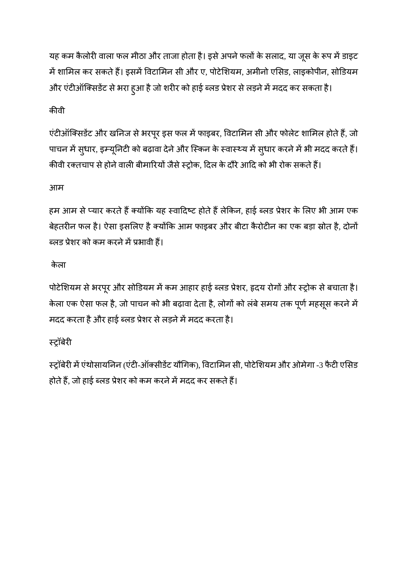यह कम कैलोरी वाला फल मीठा और ताजा होता है। इसे अपने फलों के सलाद, या जूस के रूप में डाइट में शामिल कर सकते हैं। इसमें विटामिन सी और ए, पोटेशियम, अमीनो एसिड, लाइकोपीन, सोडियम और एंटीऑक्सिडेंट से भरा हुआ है जो शरीर को हाई ब्लड प्रेशर से लड़ने में मदद कर सकता है।

### कीवी

एंटीऑक्सिडेंट और खनिज से भरपूर इस फल में फाइबर, विटामिन सी और फोलेट शामिल होते हैं, जो पाचन में सुधार, इम्यूनिटी को बढ़ावा देने और स्किन के स्वास्थ्य में सुधार करने में भी मदद करते हैं। कीवी रक्तचाप से होने वाली बीमारियों जैसे स्ट्रोक, दिल के दौरे आदि को भी रोक सकते हैं।

### आम

हम आम से प्यार करते हैं क्योंकि यह स्वादिष्ट होते हैं लेकिन, हाई ब्लड प्रेशर के लिए भी आम एक बेहतरीन फल है। ऐसा इसलिए है क्योंकि आम फाइबर और बीटा कैरोटीन का एक बड़ा स्रोत है, दोनों ब्लड प्रेशर को कम करने में प्रभावी हैं।

### केला

पोटेशियम से भरपूर और सोडियम में कम आहार हाई ब्लड प्रेशर, हृदय रोगों और स्ट्रोक से बचाता है। केला एक ऐसा फल है, जो पाचन को भी बढ़ावा देता है, लोगों को लंबे समय तक पूर्ण महसूस करने में मदद करता है और हाई ब्लड प्रेशर से लड़ने में मदद करता है।

### स्टॉबेरी

स्ट्रॉबेरी में एंथोसायनिन (एंटी-ऑक्सीडेंट यौगिक), विटामिन सी, पोटेशियम और ओमेगा -3 फैटी एसिड होते हैं, जो हाई ब्लड प्रेशर को कम करने में मदद कर सकते हैं।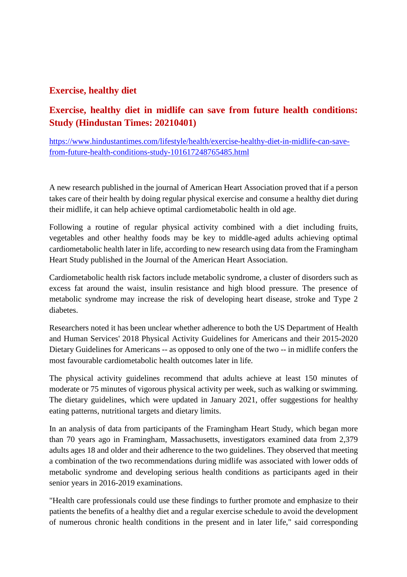### **Exercise, healthy diet**

### **Exercise, healthy diet in midlife can save from future health conditions: Study (Hindustan Times: 20210401)**

https://www.hindustantimes.com/lifestyle/health/exercise-healthy-diet-in-midlife-can-savefrom-future-health-conditions-study-101617248765485.html

A new research published in the journal of American Heart Association proved that if a person takes care of their health by doing regular physical exercise and consume a healthy diet during their midlife, it can help achieve optimal cardiometabolic health in old age.

Following a routine of regular physical activity combined with a diet including fruits, vegetables and other healthy foods may be key to middle-aged adults achieving optimal cardiometabolic health later in life, according to new research using data from the Framingham Heart Study published in the Journal of the American Heart Association.

Cardiometabolic health risk factors include metabolic syndrome, a cluster of disorders such as excess fat around the waist, insulin resistance and high blood pressure. The presence of metabolic syndrome may increase the risk of developing heart disease, stroke and Type 2 diabetes.

Researchers noted it has been unclear whether adherence to both the US Department of Health and Human Services' 2018 Physical Activity Guidelines for Americans and their 2015-2020 Dietary Guidelines for Americans -- as opposed to only one of the two -- in midlife confers the most favourable cardiometabolic health outcomes later in life.

The physical activity guidelines recommend that adults achieve at least 150 minutes of moderate or 75 minutes of vigorous physical activity per week, such as walking or swimming. The dietary guidelines, which were updated in January 2021, offer suggestions for healthy eating patterns, nutritional targets and dietary limits.

In an analysis of data from participants of the Framingham Heart Study, which began more than 70 years ago in Framingham, Massachusetts, investigators examined data from 2,379 adults ages 18 and older and their adherence to the two guidelines. They observed that meeting a combination of the two recommendations during midlife was associated with lower odds of metabolic syndrome and developing serious health conditions as participants aged in their senior years in 2016-2019 examinations.

"Health care professionals could use these findings to further promote and emphasize to their patients the benefits of a healthy diet and a regular exercise schedule to avoid the development of numerous chronic health conditions in the present and in later life," said corresponding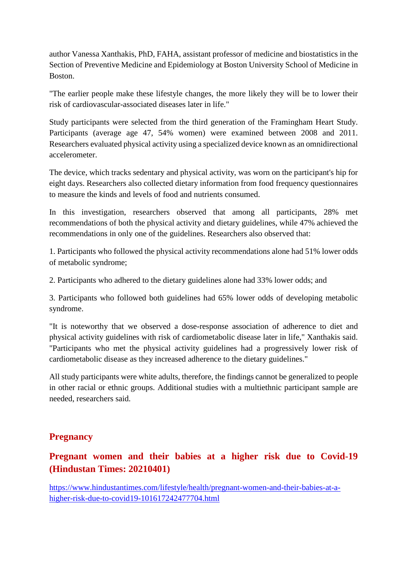author Vanessa Xanthakis, PhD, FAHA, assistant professor of medicine and biostatistics in the Section of Preventive Medicine and Epidemiology at Boston University School of Medicine in Boston.

"The earlier people make these lifestyle changes, the more likely they will be to lower their risk of cardiovascular-associated diseases later in life."

Study participants were selected from the third generation of the Framingham Heart Study. Participants (average age 47, 54% women) were examined between 2008 and 2011. Researchers evaluated physical activity using a specialized device known as an omnidirectional accelerometer.

The device, which tracks sedentary and physical activity, was worn on the participant's hip for eight days. Researchers also collected dietary information from food frequency questionnaires to measure the kinds and levels of food and nutrients consumed.

In this investigation, researchers observed that among all participants, 28% met recommendations of both the physical activity and dietary guidelines, while 47% achieved the recommendations in only one of the guidelines. Researchers also observed that:

1. Participants who followed the physical activity recommendations alone had 51% lower odds of metabolic syndrome;

2. Participants who adhered to the dietary guidelines alone had 33% lower odds; and

3. Participants who followed both guidelines had 65% lower odds of developing metabolic syndrome.

"It is noteworthy that we observed a dose-response association of adherence to diet and physical activity guidelines with risk of cardiometabolic disease later in life," Xanthakis said. "Participants who met the physical activity guidelines had a progressively lower risk of cardiometabolic disease as they increased adherence to the dietary guidelines."

All study participants were white adults, therefore, the findings cannot be generalized to people in other racial or ethnic groups. Additional studies with a multiethnic participant sample are needed, researchers said.

### **Pregnancy**

### **Pregnant women and their babies at a higher risk due to Covid-19 (Hindustan Times: 20210401)**

https://www.hindustantimes.com/lifestyle/health/pregnant-women-and-their-babies-at-ahigher-risk-due-to-covid19-101617242477704.html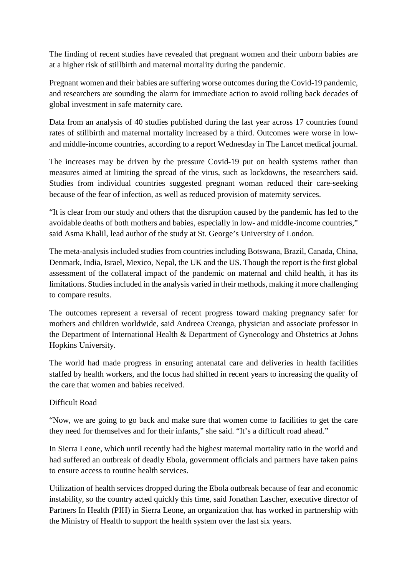The finding of recent studies have revealed that pregnant women and their unborn babies are at a higher risk of stillbirth and maternal mortality during the pandemic.

Pregnant women and their babies are suffering worse outcomes during the Covid-19 pandemic, and researchers are sounding the alarm for immediate action to avoid rolling back decades of global investment in safe maternity care.

Data from an analysis of 40 studies published during the last year across 17 countries found rates of stillbirth and maternal mortality increased by a third. Outcomes were worse in lowand middle-income countries, according to a report Wednesday in The Lancet medical journal.

The increases may be driven by the pressure Covid-19 put on health systems rather than measures aimed at limiting the spread of the virus, such as lockdowns, the researchers said. Studies from individual countries suggested pregnant woman reduced their care-seeking because of the fear of infection, as well as reduced provision of maternity services.

"It is clear from our study and others that the disruption caused by the pandemic has led to the avoidable deaths of both mothers and babies, especially in low- and middle-income countries," said Asma Khalil, lead author of the study at St. George's University of London.

The meta-analysis included studies from countries including Botswana, Brazil, Canada, China, Denmark, India, Israel, Mexico, Nepal, the UK and the US. Though the report is the first global assessment of the collateral impact of the pandemic on maternal and child health, it has its limitations. Studies included in the analysis varied in their methods, making it more challenging to compare results.

The outcomes represent a reversal of recent progress toward making pregnancy safer for mothers and children worldwide, said Andreea Creanga, physician and associate professor in the Department of International Health & Department of Gynecology and Obstetrics at Johns Hopkins University.

The world had made progress in ensuring antenatal care and deliveries in health facilities staffed by health workers, and the focus had shifted in recent years to increasing the quality of the care that women and babies received.

### Difficult Road

"Now, we are going to go back and make sure that women come to facilities to get the care they need for themselves and for their infants," she said. "It's a difficult road ahead."

In Sierra Leone, which until recently had the highest maternal mortality ratio in the world and had suffered an outbreak of deadly Ebola, government officials and partners have taken pains to ensure access to routine health services.

Utilization of health services dropped during the Ebola outbreak because of fear and economic instability, so the country acted quickly this time, said Jonathan Lascher, executive director of Partners In Health (PIH) in Sierra Leone, an organization that has worked in partnership with the Ministry of Health to support the health system over the last six years.